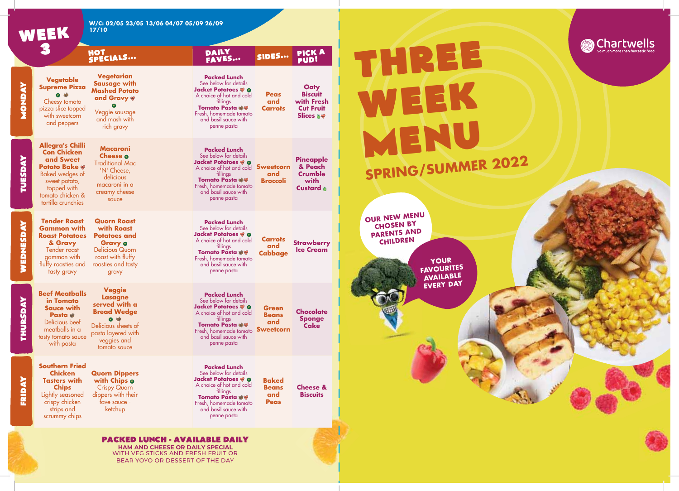